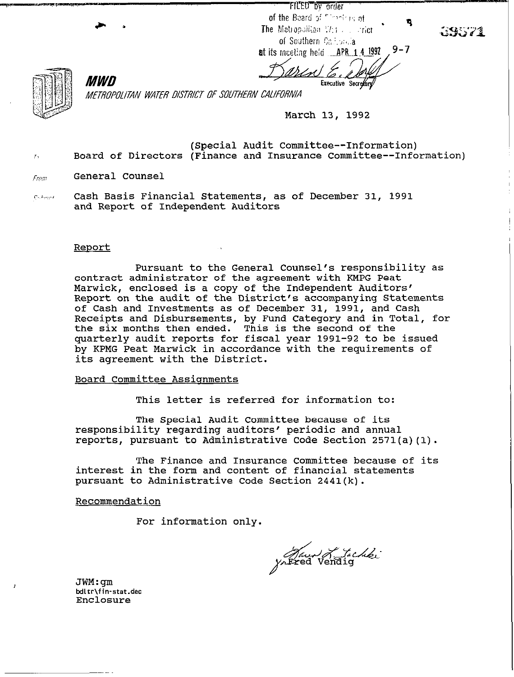FILED by order of the Board of Contrasint The Mationalitan  $\mathbb{V}_{\mathbb{C}}$  is a strict of Southern California

 $9 - 7$ at its meeting held **APR 1 4 1992** 

Executive Secretory



METROPOLITAN WATER DISTRICT OF SOUTHERN CALIFORNIA

**March 13, 1992** 

**(Special Audit Committee--Information) i, Board of Directors (Finance and Insurance Committee--Information)** 

**fr0m General Counsel** 

MWD

**~.,I...., Cash Basis Financial Statements, as of December 31, 1991 and Report of Independent Auditors** 

### **Report**

**Pursuant to the General Counsel's responsibility as contract administrator of the agreement with EMPG Peat Marwick, enclosed is a copy of the Independent Auditors' Report on the audit of the District's accompanying Statements of Cash and Investments as of December 31, 1991, and Cash Receipts and Disbursements, by Fund Category and in Total, for the six months then ended. This is the second of the quarterly audit reports for fiscal year 1991-92 to be issued**  by KPMG Peat Marwick in accordance with the requirements of **its agreement with the District.** 

### **Board Committee Assionments**

**This letter is referred for information to:** 

**The Special Audit Committee because of its responsibility regarding auditors' periodic and annual reports, pursuant to Administrative Code Section 2571(a)(l).** 

**The Finance and Insurance Committee because of its interest in the form and content of financial statements pursuant to Administrative Code Section 2441(k).** 

**Recommendation** 

**For information only.** 

Jaun Lachki

**JWM:gm Wltr\fin-stat.dec Enclosure**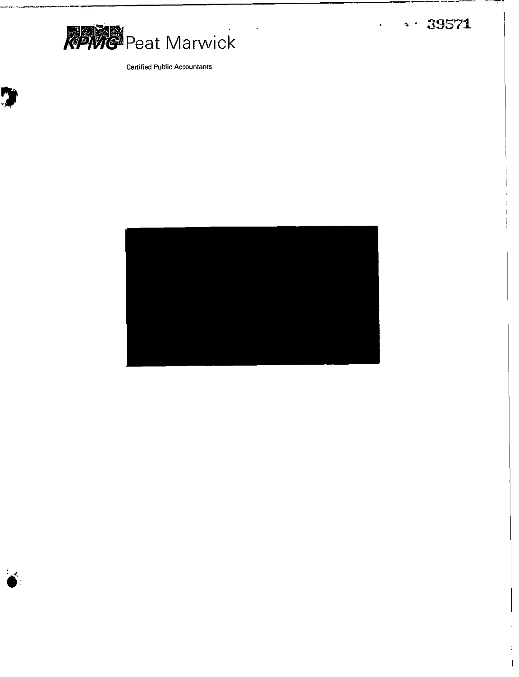

Ŋ

**Certified Public Accountants** 

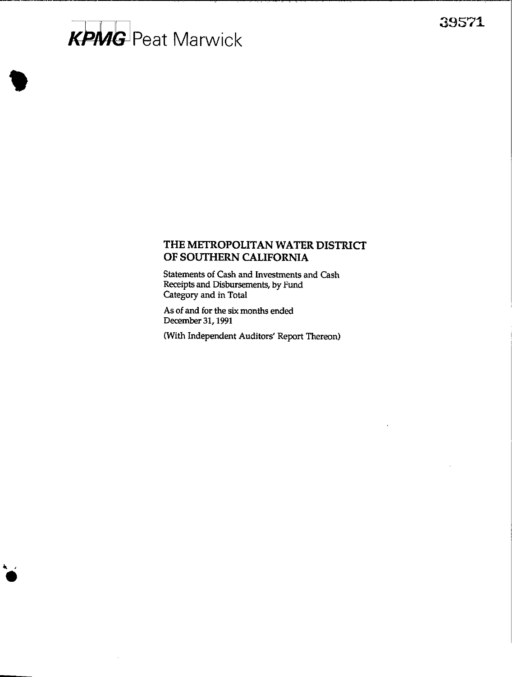# **KPMG** Peat Marwick

# **THE METROPOLITAN WATER DISTRICI' OF SOUTHERN CALIFORNIA**

**Statements of Cash and Investments and Cash Receipts and Disbursements, by Fund Category and in Total** 

**As of and for the six months ended Decemkr 31,199l** 

**(With Independent Auditors' Report Thereon)**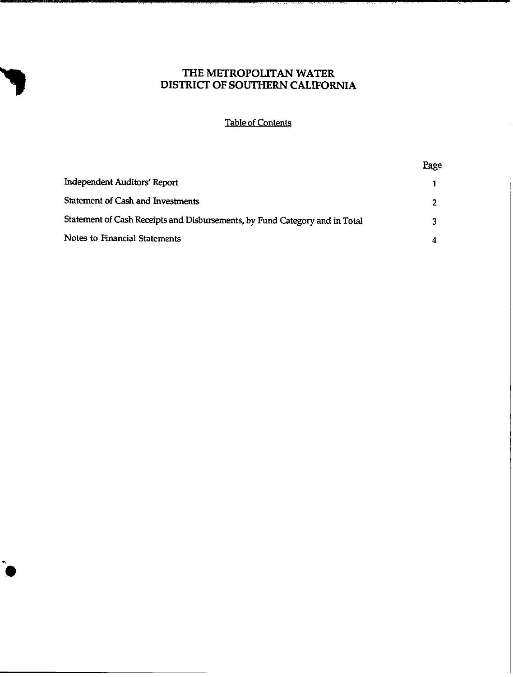Table of Contents

|                                                                             | <u>Page</u> |
|-----------------------------------------------------------------------------|-------------|
| <b>Independent Auditors' Report</b>                                         |             |
| <b>Statement of Cash and Investments</b>                                    | ,           |
| Statement of Cash Receipts and Disbursements, by Fund Category and in Total |             |
| Notes to Financial Statements                                               |             |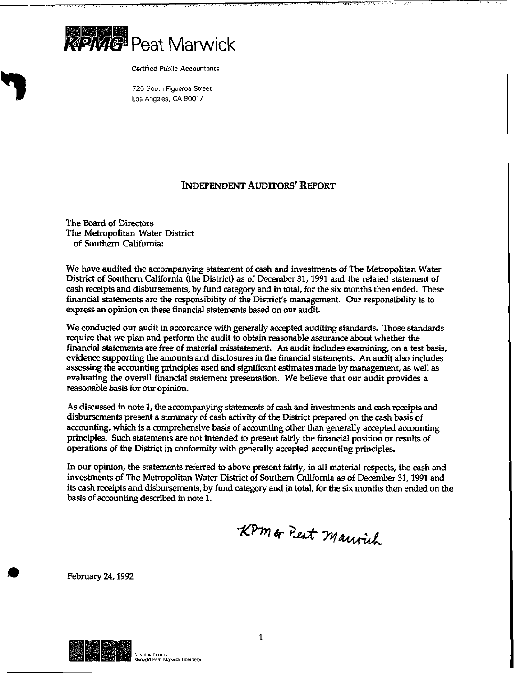

**Certified Public Accountants** 

**725 South Figueroa Street Los Angeles. CA 90017** 

### INDEPENDENT AUDITORS' REPORT

The Board of Directors The Metropolitan Water District of Southern California:

We have audited the accompanying statement of cash and investments of The Metropolitan Water District of Southern California (the District) as of December 31,199l and the related statement of cash receipts and disbursements, by fund category and in total, for the six months then ended. These financial statements are the responsibility of the District's management. Our responsibility is to express an opinion **on these** financial statements based on our audit.

We conducted our audit in accordance with generally accepted auditing standards. Those standards require that we plan and perform the audit to obtain reasonable assurance about whether the financial statements are free of material misstatement. An audit includes examining on a test basis, evidence supporting the amounts and disclosures in the financial statements. An audit also includes assessing the accounting principles used and significant estimates made by management, as well as evaluating the overall financial statement presentation. We believe that our audit provides a reasonable basis for our opinion.

As discussed in note 1, the accompanying statements of cash and investments and cash receipts and disbursements present a summary of cash activity of the District prepared on the cash basis of accounting, which is a comprehensive basis of accounting other than generally accepted accounting principles. Such statements are not intended to present fairly the financial position or results of operations of the District in conformity with generally accepted accounting principles.

In our opinion, the statements referred to above present fairly, in all material respects, the cash and investments of The Metropolitan Water District of Southern California as of December 31,199l and its cash receipts and disbursements, by fund category and in total, for the six months then ended on the basis of accounting described in note 1.

KPM or Peat Maurich

February 24.1992

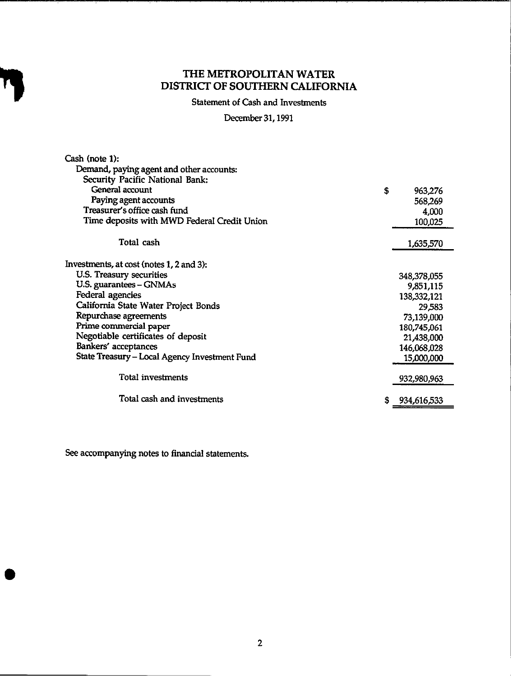Statement of Cash and Investments

December 31,199l

| Cash (note 1):                                |               |
|-----------------------------------------------|---------------|
| Demand, paying agent and other accounts:      |               |
| Security Pacific National Bank:               |               |
| General account                               | \$<br>963,276 |
| Paying agent accounts                         | 568,269       |
| Treasurer's office cash fund                  | 4,000         |
| Time deposits with MWD Federal Credit Union   | 100,025       |
| Total cash                                    | 1,635,570     |
|                                               |               |
| Investments, at cost (notes 1, 2 and 3):      |               |
| U.S. Treasury securities                      | 348,378,055   |
| U.S. guarantees - GNMAs                       | 9,851,115     |
| Federal agencies                              | 138,332,121   |
| California State Water Project Bonds          | 29,583        |
| Repurchase agreements                         | 73,139,000    |
| Prime commercial paper                        | 180,745,061   |
| Negotiable certificates of deposit            | 21,438,000    |
| Bankers' acceptances                          | 146,068,028   |
| State Treasury – Local Agency Investment Fund | 15,000,000    |
| Total investments                             | 932,980,963   |
| Total cash and investments                    | 934,616,533   |

See accompanying notes to financial statements.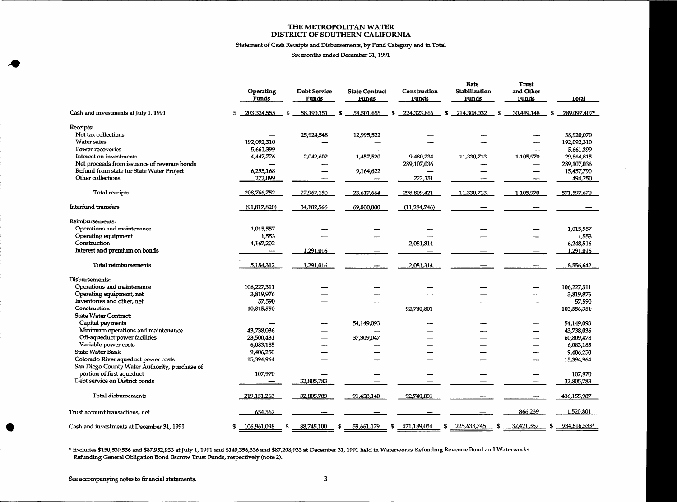## **Statement of Cash Receipk and Disbursements, by Fund Category and in Total**

### **Six months ended December 31, 1991**

 $\mathcal{L}$ 

|                                                                                      | Operating<br>Funds |     | <b>Debt Service</b><br>Funds | <b>State Contract</b><br>Funds |   | Construction<br>Funds | Rate<br>Stabilization<br>Funds                                      | <b>Trust</b><br>and Other<br><b>Funds</b> | Total           |
|--------------------------------------------------------------------------------------|--------------------|-----|------------------------------|--------------------------------|---|-----------------------|---------------------------------------------------------------------|-------------------------------------------|-----------------|
| Cash and investments at July 1, 1991                                                 | 203,324,555<br>\$  | \$  | 58,190,151                   | 58,501,655<br>S                | S | 224,323,866           | \$<br>214,308,032<br>\$                                             | 30,449,148                                | 789,097,407*    |
| Receipts:                                                                            |                    |     |                              |                                |   |                       |                                                                     |                                           |                 |
| Net tax collections                                                                  |                    |     | 25,924,548                   | 12,995,522                     |   |                       |                                                                     |                                           | 38,920,070      |
| <b>Water sales</b>                                                                   | 192,092,310        |     |                              |                                |   |                       |                                                                     |                                           | 192,092,310     |
| Power recoveries                                                                     | 5,661,399          |     |                              |                                |   |                       |                                                                     |                                           | 5,661,399       |
| Interest on investments                                                              | 4,447,776          |     | 2,042,602                    | 1,457,520                      |   | 9,480,234             | 11,330,713                                                          | 1,105,970                                 | 29,864,815      |
| Net proceeds from issuance of revenue bonds                                          |                    |     |                              |                                |   | 289,107,036           |                                                                     |                                           | 289,107,036     |
| Refund from state for State Water Project                                            | 6,293,168          |     |                              | 9,164,622                      |   |                       |                                                                     |                                           | 15,457,790      |
| Other collections                                                                    | 272,099            |     |                              |                                |   | 222,151               |                                                                     |                                           | 494,250         |
| Total receipts                                                                       | 208,766,752        |     | 27,967,150                   | 23,617,664                     |   | 298,809,421           | 11,330,713                                                          | 1,105,970                                 | 571,597,670     |
| <b>Interfund transfers</b>                                                           | (91, 817, 820)     |     | 34,102,566                   | 69,000,000                     |   | (11, 284, 746)        |                                                                     |                                           |                 |
| Reimbursements:                                                                      |                    |     |                              |                                |   |                       |                                                                     |                                           |                 |
| Operations and maintenance                                                           | 1,015,557          |     |                              |                                |   |                       |                                                                     |                                           | 1,015,557       |
| Operating equipment                                                                  | 1,553              |     |                              |                                |   |                       |                                                                     |                                           | 1,553           |
| Construction                                                                         | 4,167,202          |     |                              |                                |   | 2,081,314             |                                                                     |                                           | 6,248,516       |
| Interest and premium on bonds                                                        |                    |     | 1,291,016                    |                                |   |                       |                                                                     |                                           | 1,291,016       |
| Total reimbursements                                                                 | 5,184,312          |     | 1,291,016                    |                                |   | 2,081,314             |                                                                     |                                           | 8,556,642       |
| Disbursements:                                                                       |                    |     |                              |                                |   |                       |                                                                     |                                           |                 |
| Operations and maintenance                                                           | 106,227,311        |     |                              |                                |   |                       |                                                                     |                                           | 106,227,311     |
| Operating equipment, net                                                             | 3,819,976          |     |                              |                                |   |                       |                                                                     |                                           | 3,819,976       |
| Inventories and other, net                                                           | 57,590             |     |                              |                                |   |                       |                                                                     |                                           | 57,590          |
| Construction                                                                         | 10,815,550         |     |                              |                                |   | 92,740,801            |                                                                     |                                           | 103,556,351     |
| <b>State Water Contract:</b>                                                         |                    |     |                              |                                |   |                       |                                                                     |                                           |                 |
| Capital payments                                                                     |                    |     |                              | 54,149,093                     |   |                       |                                                                     |                                           | 54,149,093      |
| Minimum operations and maintenance                                                   | 43,738,036         |     |                              |                                |   |                       |                                                                     |                                           | 43,738,036      |
| Off-aqueduct power facilities                                                        | 23,500,431         |     |                              | 37,309,047                     |   |                       |                                                                     |                                           | 60,809,478      |
| Variable power costs                                                                 | 6,083,185          |     |                              |                                |   |                       |                                                                     |                                           | 6,083,185       |
| <b>State Water Bank</b>                                                              | 9,406,250          |     |                              |                                |   |                       |                                                                     |                                           | 9,406,250       |
| Colorado River aqueduct power costs<br>San Diego County Water Authority, purchase of | 15,394,964         |     |                              |                                |   |                       |                                                                     |                                           | 15,394,964      |
| portion of first aqueduct                                                            | 107,970            |     |                              |                                |   |                       |                                                                     |                                           | 107,970         |
| Debt service on District bonds                                                       |                    |     | 32,805,783                   |                                |   |                       |                                                                     |                                           | 32,805,783      |
|                                                                                      |                    |     |                              |                                |   |                       |                                                                     |                                           |                 |
| <b>Total disbursements</b>                                                           | 219, 151, 263      |     | 32,805,783                   | 91,458,140                     |   | 92,740,801            |                                                                     |                                           | 436,155,987     |
| Trust account transactions, net                                                      | 654,562            |     |                              |                                |   |                       |                                                                     | 866,239                                   | 1,520,801       |
| Cash and investments at December 31, 1991                                            | 106,961,098<br>S   | -\$ | 88,745,100<br>- \$           | 59,661,179                     |   |                       | $\frac{1}{2}$ \$ $\frac{421,189,054}{189,054}$ \$ 225,638,745<br>\$ | 32,421,357                                | $$934,616,533*$ |

\* Excludes \$150,539,536 and \$87,952,933 at July 1, 1991 and \$149,356,336 and \$87,208,933 at December 31, 1991 held in Waterworks Refunding Revenue Bond and Waterworks **Refunding General Obligation Bond Escrow Trust Funds, respectively (note 2).**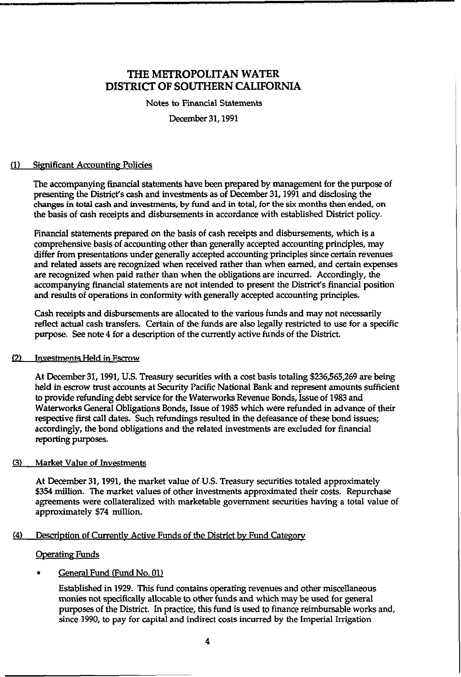Notes to Financial Statements

December 31,1991

### (1) Significant Accounting Policies

The accompanying financial statements have been prepared by management for the purpose of presenting the DistricYs cash and investments as of December 31,1991 and disclosing the changes in total cash and investments, by fund and in total, for the six months then ended, on the basis of cash receipts and disbursements in accordance with established District policy.

Financial statements prepared on the basis of cash receipts and disbursements, which is a comprehensive basis of accounting other than generally accepted accounting principles, may differ from presentations under generally accepted accounting principles since certain revenues and related assets are recognized when received rather than when earned, and certain expenses are recognized when paid rather than when the obligations are incurred. Accordingly, the accompanying financial statements are not intended to present the DistricYs financial position and results of operations in conformity with generally accepted accounting principles.

Cash receipts and disbursements are allocated to the various funds and may not necessarily reflect actual cash transfers. Certain of the funds are also legally restricted to use for a specific purpose. See note 4 for a description of the currendy active funds of the District.

### [2) Investments Held in Escrow

At December 31,1991, U.S. Treasury securities with a cost basis totaling \$236,565,269 are being held in escrow trust accounts at Security Pacific National Bank and represent amounts sufficient to provide refunding debt service for the Waterworks Revenue Bonds, Issue of 1983 and Waterworks General Obligations Bonds, Issue of 1985 which were refunded in advance of their respective first call dates. Such refundings resulted in the defeasance of these bond issues; accordingly, the bond obligations and the related investments are excluded for financial reporting purposes.

### (3) Market Value of Investments

At December 31,1991, the market value of U.S. Treasury securities totaled approximately \$354 million. The market values of other investments approximated their costs. Repurchase agreements were collateralized with marketable government securities having a total value of approximately \$74 million.

### (4) Description of Currently Active Funds of the District by Fund Category

### **Operating Funds**

### General Fund (Fund No. 01)

Established in 1929. This fund contains operating revenues and other miscellaneous monies not specifically allocable to other funds and which may be used for general purposes of the District. In practice, this fund is used to finance reimbursable works and, since 1990, to pay for capital and indirect costs incurred by the Imperial Irrigation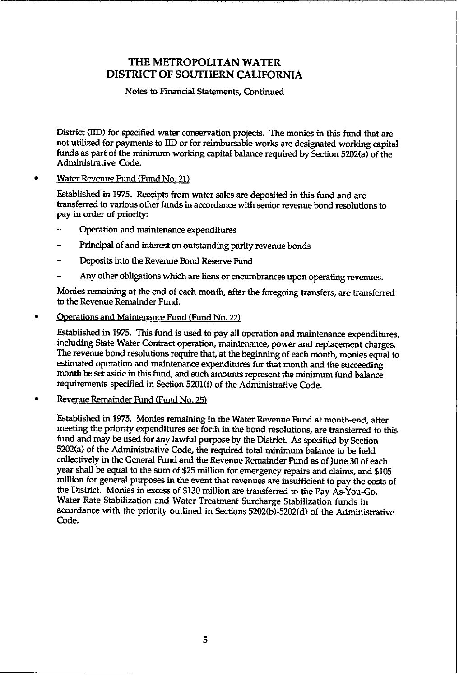### Notes to Financial Statements, Continued

District (IID) for specified water conservation projects. The monies in this fund that are not utilized for payments to LID or for reimbursable works are designated working capital funds as part of the minimum working capital balance required by Section 5202(a) of the Administrative Code.

### Water Revenue Fund (Fund No. 21)

Established in 1975. Receipts from water sales are deposited in this fund and are transferred to various other funds in accordance with senior revenue bond resolutions to pay in order of priority:

- Operation and maintenance expenditures
- Principal of and interest on outstanding parity revenue bonds
- Deposits into the Revenue Bond Reserve Fund
- Any other obligations which are liens or encumbrances upon operating revenues.

Monies remaining at the end of each month, after the foregoing transfers, are transferred to the Revenue Remainder Fund.

### . Ooerations and Maintenance Fund (Fund No. 22)

Established in 1975. This fund is used to pay all operation and maintenance expenditures, including State Water Contract operation, maintenance, power and replacement charges. The revenue bond resolutions require that, at the beginning of each month, monies equal to estimated operation and maintenance expenditures for that month and the succeeding month be set aside in this fund, and such amounts represent the minimum fund balance requirements specified in Section 5201(f) of the Administrative Code.

### Revenue Remainder Fund (Fund No. 25)

Established in 1975. Monies remaining in the Water Revenue Fund at month-end, after meeting the priority expenditures set forth in the bond resolutions, are transferred to this fund and may be used for any lawful purpose by the District. As specified by Section 5202(a) of the Administrative Code, the required total minimum balance to be held collectively in the General Fund and the Revenue Remainder Fund as of June 30 of each year shall be equal to the sum of \$25 million for emergency repairs and claims, and \$105 million for general purposes in the event that revenues are insufficient to pay the costs of the District. Monies in excess of \$130 million are transferred to the Pay-As-You-Go, Water Rate Stabilization and Water Treatment Surcharge Stabilization funds in accordance with the priority outlined in Sections 5202(b)-5202(d) of the Administrative Code.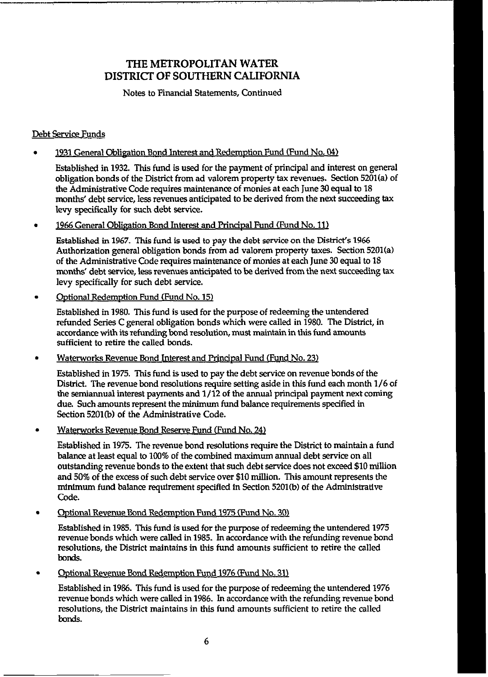Notes to Financial Statements, Continued

### Debt Service Funds

. 1931 General Obligation Bond Interest and Redemption Fund (Fund No. 04)

Established in 1932. This fund is used for the payment of principal and interest on general obligation bonds of the District from ad valorem property tax revenues. Section 5201(a) of the Administrative Code requires maintenance of monies at each June 30 equal to 18 months' debt service, less revenues anticipated to be derived from the next succeeding tax levy specificaIIy for such debt service.

. 1966 General Obligation Bond Interest and Principal Fund (Fund No. 11)

Established in 1967. This fund is used to pay the debt service on the District's 1966 Authorization general obligation bonds from ad valorem property taxes. Section 5201(a) of the Administrative Code requires maintenance of monies at each June 30 equal to 18 months' debt service, less revenues anticipated to be derived from the next succeeding tax levy specifically for such debt service.

. Optional Redemption Fund (Fund No. 15)

> Established in 1980. This fund is used for the purpose of redeeming the untendered refunded Series C general obligation bonds which were called in 1980. The District, in accordance with its refunding bond resolution, must maintain in this fund amounts sufficient to retire the called bonds.

. Waterworks Revenue Bond Interest and Principal Fund (Fund No. 23)

Established in 1975. This fund is used to pay the debt service on revenue bonds of the District. The revenue bond resolutions require setting aside in this fund each month 1/6 of the semiannual interest payments and 1/12 of the annual principal payment next coming due. Such amounts represent the minimum fund balance requirements specified in Section 5201(b) of the Administrative Code.

. Waterworks Revenue Bond Reserve Fund (Fund No. 24)

Established in 1975. The revenue bond resolutions require the District to maintain a fund balance at least equal to 100% of the combined maximum annual debt service on all outstanding revenue bonds to the extent that such debt service does not exceed \$10 million and 50% of the excess of such debt service over \$10 million. This amount represents the minimum fund balance requirement specified in Section 5201(b) of the Administrative Code.

#### . Ootional Revenue Bond Redemption Fund 1975 (Fund No. 30)

Established in 1985. This fund is used for the purpose of redeeming the untendered 1975 revenue bonds which were called in 1985. In accordance with the refunding revenue bond resolutions, the District maintains in this fund amounts sufficient to retire the called bonds.

. Optional Revenue Bond Redemption Fund 1976 (Fund No. 31)

Established in 1986. This fund is used for the purpose of redeeming the untendered 1976 revenue bonds which were called in 1986. In accordance with the refunding revenue bond resolutions, the District maintains in this fund amounts sufficient to retire the called bonds.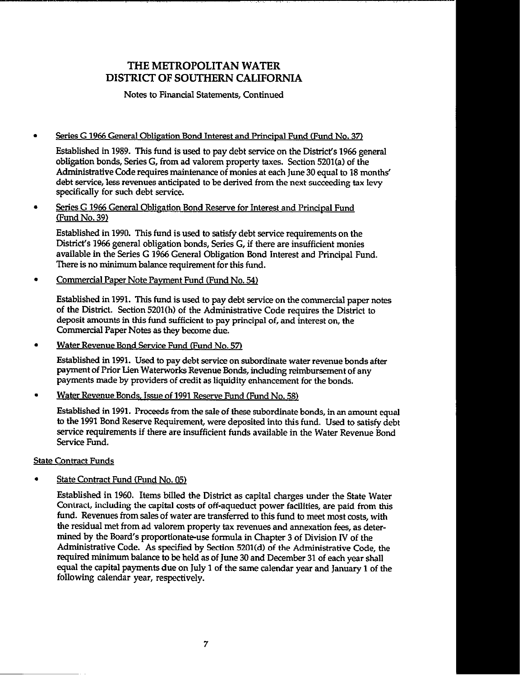Notes to Financial Statements, Continued

### Series G 1966 General Obligation Bond Interest and Principal Fund (Fund No. 37)

Established in 1989. This fund is used to pay debt service on the District's 1966 general obligation bonds, Series G, from ad valorem property taxes. Section 5201(a) of the Administrative Code requires maintenance of monies at each June 30 equal to 18 months' debt service, less revenues anticipated to be derived from the next succeeding tax levy specificaIly for such debt service.

Series G 1966 General Obligation Bond Reserve for Interest and Principal Fund  $\bullet$ Fund No. 39)

Established in 1990. This fund is used to satisfy debt service requirements on the District's 1966 general obligation bonds, Series G, if there are insufficient monies available in the Series G 1966 General Obligation Bond Interest and Principal Fund. There is no minimum balance requirement for this fund.

Commercial Paper Note Payment Fund (Fund No. 54)

Established in 1991. This fund is used to pay debt service on the commercial paper notes of the District. Section 5201(h) of the Administrative Code requires the District to deposit amounts in this fund sufficient to pay principal of, and interest on, the Commercial Paper Notes as they become due.

Water Revenue Bond Service Fund (Fund No. 57)

Established in 1991. Used to pay debt service on subordinate water revenue bonds after payment of Prior Lien Waterworks Revenue Bonds, including reimbursement of any payments made by providers of credit as liquidity enhancement for the bonds.

Water Revenue Bonds. Issue of 1991 Reserve Fund (Fund No. 58)

Established in 1991. Proceeds from the sale of these subordinate bonds, in an amount equal to the 1991 Bond Reserve Requirement, were deposited into this fund. Used to satisfy debt service requirements if there are insufficient funds available in the Water Revenue Bond Service Fund.

### State Contract Funds

State Contract Fund (Fund No. 05)

Established in 1960. Items billed the District as capital charges under the State Water Contract, including the capital costs of off-aqueduct power facilities, are paid from this fund. Revenues from sales of water are transferred to this fund to meet most costs, with the residual met from ad valorem property tax revenues and annexation fees, as determined by the Board's proportionate-use formula in Chapter 3 of Division IV of the Administrative Code. As specified by Section 5201(d) of the Administrative Code, the required minimum balance to be held as of June 30 and December 31 of each year shall equal the capital payments due on July 1 of the same calendar year and January 1 of the following calendar year, respectively.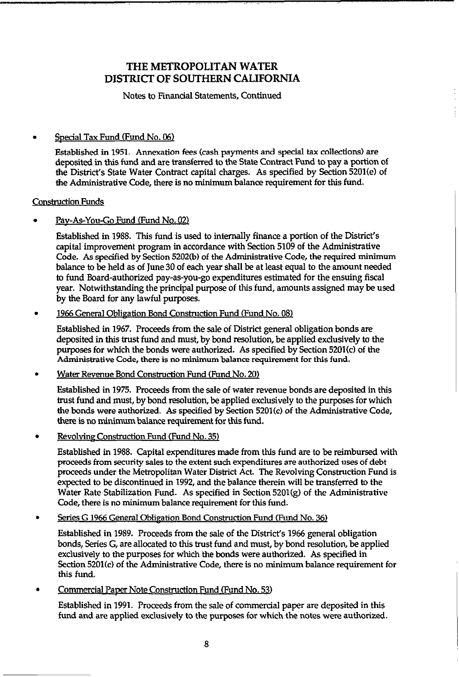Notes to Financial Statements, Continued

### Special Tax Fund (Fund No. 06)

Established in 1951. Annexation fees (cash payments and special tax collections) are deposited in this fund and are transferred to the State Contract Fund to pay a potion of the District's State Water Contract capital charges. As specified by Section 5201(e) of the Administrative Code, there is no minimum balance requirement for this fund.

### Construction Funds

### Pav-As-You-Go Fund (Fund No. 02)

Established in 1988. This fund is used to internally finance a portion of the District's capital improvement program in accordance with Section 5109 of the Administrative Code. As specified by Section 5202(b) of the Administrative Code, the required minimum balance to be held as of June 30 of each year shall be at least equal to the amount needed to fund Board-authorized pay-as-you-go expenditures estimated for the ensuing fiscal year. Notwithstanding the principal purpose of this fund, amounts assigned may be used by the Board for any lawful purposes.

### 1966 General Obligation Bond Construction Fund (Fund No. 08)

Established in 1967. Proceeds from the sale of District general obligation bonds are deposited in this trust fund and must, by bond resolution, be applied exclusively to the purposes for which the bonds were authorized. As specified by Section 5201(c) of the Administrative Code, there is no minimumbalance requirement for this fund.

### Water Revenue Bond Construction Fund (Fund No. 20)

Established in 1975. Proceeds from the sale of water revenue bonds are deposited in this trust fund and must, by bond resolution, be applied exclusively to the purposes for which the bonds were authorized. As specified by Section 5201(c) of the Administrative Code, there is no minimum balance requirement for this fund.

Revolvine Construction Fund (Fund No. 35)

Established in 1988. Capital expenditures made from this fund are to be reimbursed with proceeds from security sales to the extent such expenditures are authorized uses of debt proceeds under the Metropolitan Water District Act. The Revolving Construction Fund is expected to be discontinued in 1992, and the balance therein will be transferred to the Water Rate Stabilization Fund. As specified in Section 5201(g) of the Administrative Code, there is no minimum balance requirement for this fund.

### Series G 1966 General Obligation Bond Construction Fund (Fund No. 36)

Established in 1989. Proceeds from the sale of the District's 1966 general obligation bonds, Series G, are allocated to this trust fund and must, by bond resolution, be applied exclusively to the purposes for which the bonds were authorized. As specified in Section 5201(c) of the Administrative Code, there is no minimum balance requirement for this fund.

### Commercial Paper Note Construction Fund (Fund No. 53)

Established in 1991. Proceeds from the sale of commercial paper are deposited in this fund and are applied exclusively to the purposes for which the notes were authorized.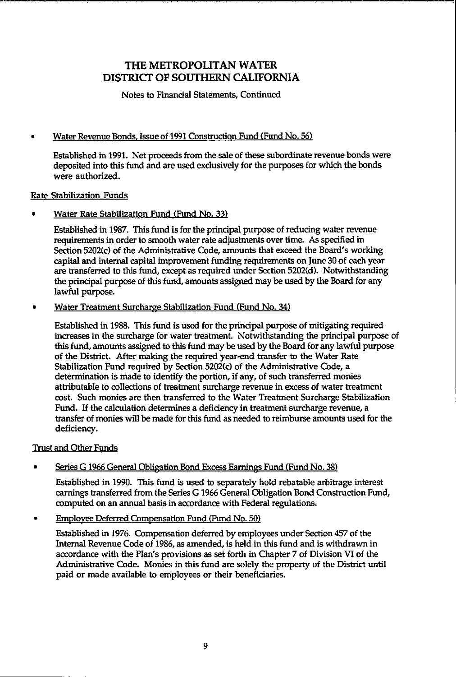Notes to Financial Statements, Continued

### . Water Revenue Bonds, Issue of 1991 Construction Fund (Fund No. 56)

Established in 1991. Net pmceeds from the sale of these subordinate revenue bonds were deposited into this fund and are used exclusively for the purposes for which the bonds were authorized.

### Rate Stabilization Funds

. Water Rate Stabilization Fund (Fund No. 33)

Established in 1987. This fund is for the principal purpose of reducing water revenue requirements in order to smooth water rate adjustments over time. As specified in Section 5202(c) of the Administrative Code, amounts that exceed the Board's working capital and internal capital improvement funding requirements on June 30 of each year are transferred to this fund, except as required under Section 5202(d). Notwithstanding the principal purpose of this fund, amounts assigned may be used by the Board for any lawful purpose.

. Water Treatment Surcharge Stabilization Fund (Fund No. 34)

Established in 1933. This fund is used for the principal purpose of mitigating required increases in the surcharge for water treatment. Notwithstanding the principal purpose of this fund, amounts assigned to this fund may be used by the Board for any lawful purpose of the District. After making the required year-end transfer to the Water Rate Stabilization Fund required by Section 5202(c) of the Administrative Code, a determination is made to identify the portion, if any, of such transferred monies attributable to collections of treatment surcharge revenue in excess of water treatment cost. Such monies are then transferred to the Water Treatment Surcharge Stabilization Fund. If the calculation determines a deficiency in treatment surcharge revenue, a transfer of monies will be made for this fund as needed to reimburse amounts used for the deficiency.

### Trust and Other Funds

### Series G 1966 General Obligation Bond Excess Earnings Fund (Fund No. 38)

Established in 1990. This fund is used to separately hold rebatable arbitrage interest earnings transferred from the Series G 1966 General Obligation Bond Construction Fund, computed on an annual basis in accordance with Federal regulations.

**Employee Deferred Compensation Fund (Fund No. 50)** 

Established in 1976. Compensation deferred by employees under Section 457 of the Internal Revenue Code of 1986, as amended, is held in this fund and is withdrawn in accordance with the Plan's provisions as set forth in Chapter 7 of Division VI of the Administrative Code. Monies in this fund are solely the property of the District until paid or made available to employees or their beneficiaries.